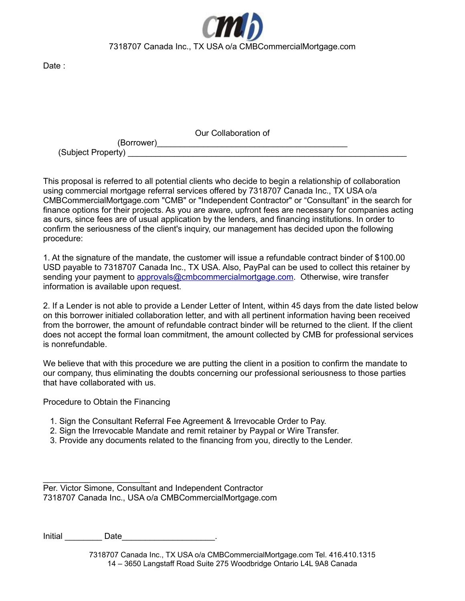

Date :

Our Collaboration of

(Borrower) (Subject Property) \_\_\_\_\_\_\_\_\_\_\_\_\_\_\_\_\_\_\_\_\_\_\_\_\_\_\_\_\_\_\_\_\_\_\_\_\_\_\_\_\_\_\_\_\_\_\_\_\_\_\_\_\_\_\_\_\_\_\_\_

This proposal is referred to all potential clients who decide to begin a relationship of collaboration using commercial mortgage referral services offered by 7318707 Canada Inc., TX USA o/a CMBCommercialMortgage.com "CMB" or "Independent Contractor" or "Consultant" in the search for finance options for their projects. As you are aware, upfront fees are necessary for companies acting as ours, since fees are of usual application by the lenders, and financing institutions. In order to confirm the seriousness of the client's inquiry, our management has decided upon the following procedure:

1. At the signature of the mandate, the customer will issue a refundable contract binder of \$100.00 USD payable to 7318707 Canada Inc., TX USA. Also, PayPal can be used to collect this retainer by sending your payment to [approvals@cmbcommercialmortgage.com.](mailto:approvals@cmbcommercialmortgage.com) Otherwise, wire transfer information is available upon request.

2. If a Lender is not able to provide a Lender Letter of Intent, within 45 days from the date listed below on this borrower initialed collaboration letter, and with all pertinent information having been received from the borrower, the amount of refundable contract binder will be returned to the client. If the client does not accept the formal loan commitment, the amount collected by CMB for professional services is nonrefundable.

We believe that with this procedure we are putting the client in a position to confirm the mandate to our company, thus eliminating the doubts concerning our professional seriousness to those parties that have collaborated with us.

Procedure to Obtain the Financing

 $\mathcal{L}=\{1,2,3,4,5\}$ 

- 1. Sign the Consultant Referral Fee Agreement & Irrevocable Order to Pay.
- 2. Sign the Irrevocable Mandate and remit retainer by Paypal or Wire Transfer.
- 3. Provide any documents related to the financing from you, directly to the Lender.

Per. Victor Simone, Consultant and Independent Contractor 7318707 Canada Inc., USA o/a CMBCommercialMortgage.com

Initial Date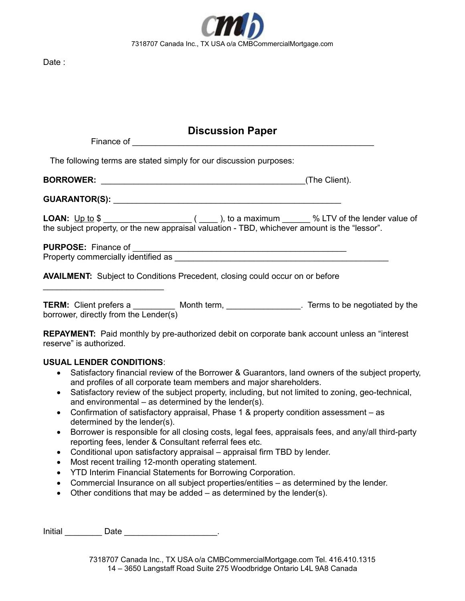

Date :

## **Discussion Paper**

| The following terms are stated simply for our discussion purposes:                                                                                                                                         |
|------------------------------------------------------------------------------------------------------------------------------------------------------------------------------------------------------------|
| (The Client).                                                                                                                                                                                              |
|                                                                                                                                                                                                            |
| LOAN: <u>Up to</u> \$ _________________________(_____), to a maximum _______ % LTV of the lender value of<br>the subject property, or the new appraisal valuation - TBD, whichever amount is the "lessor". |
|                                                                                                                                                                                                            |
| <b>AVAILMENT:</b> Subject to Conditions Precedent, closing could occur on or before<br>the control of the control of the control of the control of the control of the control of                           |
| TERM: Client prefers a ___________ Month term, _________________. Terms to be negotiated by the<br>borrower, directly from the Lender(s)                                                                   |
| <b>REPAYMENT:</b> Paid monthly by pre-authorized debit on corporate bank account unless an "interest<br>reserve" is authorized.                                                                            |
| <b>USUAL LENDER CONDITIONS:</b>                                                                                                                                                                            |
| Satisfactory financial review of the Borrower & Guarantors, land owners of the subject property,<br>$\bullet$<br>and profiles of all corporate team members and major shareholders.                        |
| Satisfactory review of the subject property, including, but not limited to zoning, geo-technical,<br>$\bullet$<br>and environmental – as determined by the lender(s).                                      |

- Confirmation of satisfactory appraisal, Phase 1 & property condition assessment as determined by the lender(s).
- Borrower is responsible for all closing costs, legal fees, appraisals fees, and any/all third-party reporting fees, lender & Consultant referral fees etc.
- Conditional upon satisfactory appraisal appraisal firm TBD by lender.
- Most recent trailing 12-month operating statement.
- YTD Interim Financial Statements for Borrowing Corporation.
- Commercial Insurance on all subject properties/entities as determined by the lender.
- $\bullet$  Other conditions that may be added as determined by the lender(s).

Initial Date Date 2014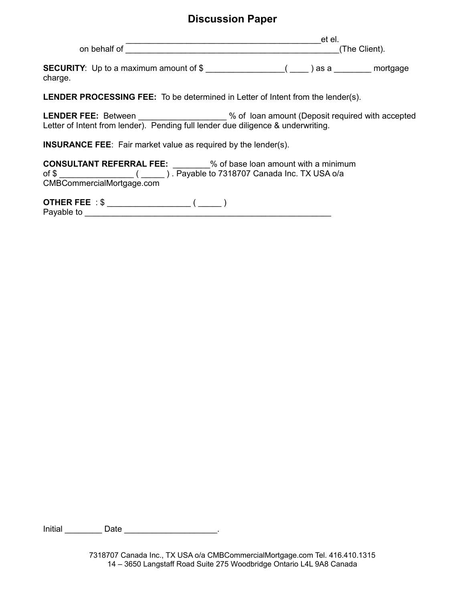## **Discussion Paper**

\_\_\_\_\_\_\_\_\_\_\_\_\_\_\_\_\_\_\_\_\_\_\_\_\_\_\_\_\_\_\_\_\_\_\_\_\_\_\_\_\_\_et el. on behalf of Government of The Client).

**SECURITY**: Up to a maximum amount of \$ \_\_\_\_\_\_\_\_\_\_\_\_\_\_\_\_\_( \_\_\_\_ ) as a \_\_\_\_\_\_\_\_ mortgage charge.

**LENDER PROCESSING FEE:** To be determined in Letter of Intent from the lender(s).

LENDER FEE: Between \_\_\_\_\_\_\_\_\_\_\_\_\_\_\_\_\_\_ % of loan amount (Deposit required with accepted Letter of Intent from lender). Pending full lender due diligence & underwriting.

**INSURANCE FEE**: Fair market value as required by the lender(s).

**CONSULTANT REFERRAL FEE:** \_\_\_\_\_\_\_\_% of base loan amount with a minimum of \$ \_\_\_\_\_\_\_\_\_\_\_\_\_\_\_\_ ( \_\_\_\_\_ ) . Payable to 7318707 Canada Inc. TX USA o/a CMBCommercialMortgage.com

**OTHER FEE** : \$ \_\_\_\_\_\_\_\_\_\_\_\_\_\_\_\_\_\_ ( \_\_\_\_\_ ) Payable to **Example 1** 

Initial **Date Date Contained Blue Date Contained Blue Date Contained Blue Date Contained Blue Date Contained Blue Date Contained Blue Date Contained Blue Date Contained Blue Date Contained Blue Date C**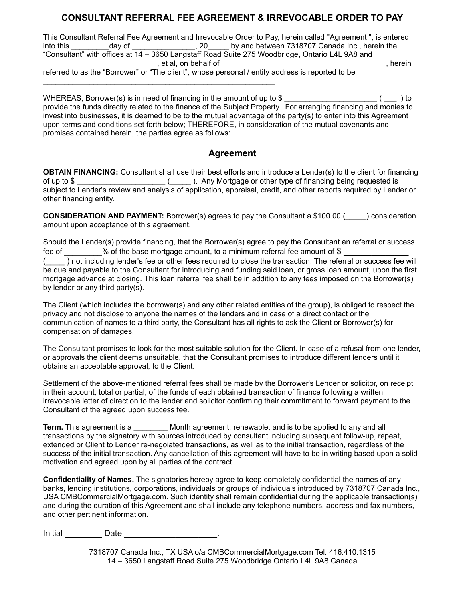## **CONSULTANT REFERRAL FEE AGREEMENT & IRREVOCABLE ORDER TO PAY**

This Consultant Referral Fee Agreement and Irrevocable Order to Pay, herein called "Agreement ", is entered into this day of the state of the state of the state of the state of the state of the state of the state of the "Consultant" with offices at 14 – 3650 Langstaff Road Suite 275 Woodbridge, Ontario L4L 9A8 and  $\Box$ , et al, on behalf of  $\Box$  . The contract of  $\Box$  is the contract of  $\Box$ referred to as the "Borrower" or "The client", whose personal / entity address is reported to be

WHEREAS, Borrower(s) is in need of financing in the amount of up to \$ \_\_\_\_\_\_\_\_\_\_\_\_\_\_\_\_\_\_\_\_\_\_ ( \_\_\_ ) to provide the funds directly related to the finance of the Subject Property. For arranging financing and monies to invest into businesses, it is deemed to be to the mutual advantage of the party(s) to enter into this Agreement upon terms and conditions set forth below; THEREFORE, in consideration of the mutual covenants and promises contained herein, the parties agree as follows:

## **Agreement**

**OBTAIN FINANCING:** Consultant shall use their best efforts and introduce a Lender(s) to the client for financing of up to \$ \_\_\_\_\_\_\_\_\_\_\_\_\_\_\_\_\_\_\_\_\_ (\_\_\_\_\_ ). Any Mortgage or other type of financing being requested is subject to Lender's review and analysis of application, appraisal, credit, and other reports required by Lender or other financing entity.

**CONSIDERATION AND PAYMENT:** Borrower(s) agrees to pay the Consultant a \$100.00 (equal onsideration amount upon acceptance of this agreement.

Should the Lender(s) provide financing, that the Borrower(s) agree to pay the Consultant an referral or success fee of \_\_\_\_\_\_\_\_\_% of the base mortgage amount, to a minimum referral fee amount of \$

(  $\Box$  ) not including lender's fee or other fees required to close the transaction. The referral or success fee will be due and payable to the Consultant for introducing and funding said loan, or gross loan amount, upon the first mortgage advance at closing. This loan referral fee shall be in addition to any fees imposed on the Borrower(s) by lender or any third party(s).

The Client (which includes the borrower(s) and any other related entities of the group), is obliged to respect the privacy and not disclose to anyone the names of the lenders and in case of a direct contact or the communication of names to a third party, the Consultant has all rights to ask the Client or Borrower(s) for compensation of damages.

The Consultant promises to look for the most suitable solution for the Client. In case of a refusal from one lender, or approvals the client deems unsuitable, that the Consultant promises to introduce different lenders until it obtains an acceptable approval, to the Client.

Settlement of the above-mentioned referral fees shall be made by the Borrower's Lender or solicitor, on receipt in their account, total or partial, of the funds of each obtained transaction of finance following a written irrevocable letter of direction to the lender and solicitor confirming their commitment to forward payment to the Consultant of the agreed upon success fee.

**Term.** This agreement is a *Month agreement, renewable, and is to be applied to any and all* transactions by the signatory with sources introduced by consultant including subsequent follow-up, repeat, extended or Client to Lender re-negoiated transactions, as well as to the initial transaction, regardless of the success of the initial transaction. Any cancellation of this agreement will have to be in writing based upon a solid motivation and agreed upon by all parties of the contract.

**Confidentiality of Names.** The signatories hereby agree to keep completely confidential the names of any banks, lending institutions, corporations, individuals or groups of individuals introduced by 7318707 Canada Inc., USA CMBCommercialMortgage.com. Such identity shall remain confidential during the applicable transaction(s) and during the duration of this Agreement and shall include any telephone numbers, address and fax numbers, and other pertinent information.

Initial **Date Date CONS**